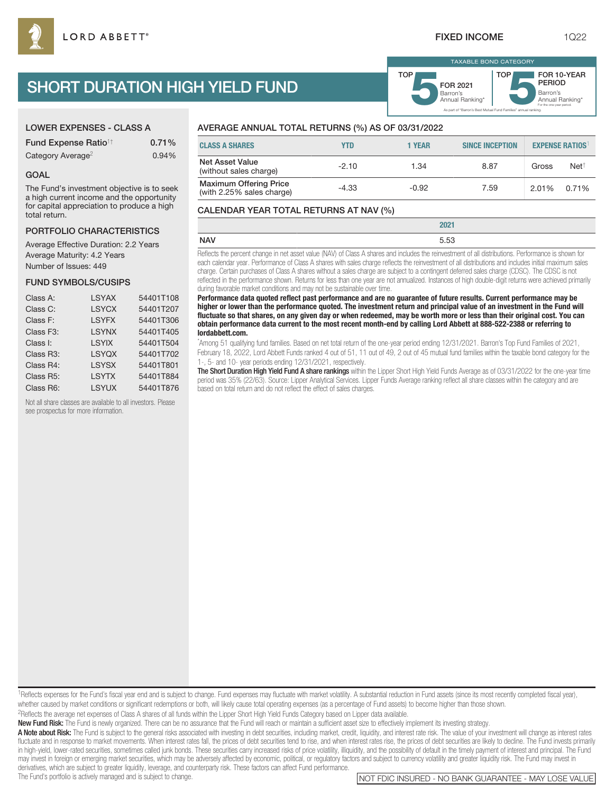# SHORT DURATION HIGH YIELD FUND

| <b>LOWER EXPENSES - CLASS A</b>        |          |
|----------------------------------------|----------|
| <b>Fund Expense Ratio<sup>1†</sup></b> | $0.71\%$ |
| Category Average <sup>2</sup>          | 0.94%    |

#### GOAL

The Fund's investment objective is to seek a high current income and the opportunity for capital appreciation to produce a high total return.

### PORTFOLIO CHARACTERISTICS

Average Effective Duration: 2.2 Years Average Maturity: 4.2 Years Number of Issues: 449

#### FUND SYMBOLS/CUSIPS

| Class A:               | <b>LSYAX</b> | 54401T108 |
|------------------------|--------------|-----------|
| Class C:               | <b>LSYCX</b> | 54401T207 |
| Class F:               | <b>LSYFX</b> | 54401T306 |
| Class F <sub>3</sub> : | <b>LSYNX</b> | 54401T405 |
| Class I:               | <b>LSYIX</b> | 54401T504 |
| Class R3:              | <b>LSYQX</b> | 54401T702 |
| Class R4:              | <b>LSYSX</b> | 54401T801 |
| Class R5:              | <b>LSYTX</b> | 54401T884 |
| Class R6:              | <b>LSYUX</b> | 54401T876 |

Not all share classes are available to all investors. Please see prospectus for more information.

## AVERAGE ANNUAL TOTAL RETURNS (%) AS OF 03/31/2022

| <b>CLASS A SHARES</b>                                      | YTD     | 1 YEAR  | <b>SINCE INCEPTION</b> |       | <b>EXPENSE RATIOS</b> |
|------------------------------------------------------------|---------|---------|------------------------|-------|-----------------------|
| <b>Net Asset Value</b><br>(without sales charge)           | $-2.10$ | 1.34    | 8.87                   | Gross | $Net^{\dagger}$       |
| <b>Maximum Offering Price</b><br>(with 2.25% sales charge) | $-4.33$ | $-0.92$ | 7.59                   | 2.01% | 0.71%                 |

#### CALENDAR YEAR TOTAL RETURNS AT NAV (%)

|            | nnn.<br><b>LULI</b> |
|------------|---------------------|
| <b>NAV</b> | 553<br>ບ.ບບ         |
|            |                     |

Reflects the percent change in net asset value (NAV) of Class A shares and includes the reinvestment of all distributions. Performance is shown for each calendar year. Performance of Class A shares with sales charge reflects the reinvestment of all distributions and includes initial maximum sales charge. Certain purchases of Class A shares without a sales charge are subject to a contingent deferred sales charge (CDSC). The CDSC is not reflected in the performance shown. Returns for less than one year are not annualized. Instances of high double-digit returns were achieved primarily during favorable market conditions and may not be sustainable over time.

**Performance data quoted reflect past performance and are no guarantee of future results. Current performance may be higher or lower than the performance quoted. The investment return and principal value of an investment in the Fund will fluctuate so that shares, on any given day or when redeemed, may be worth more or less than their original cost. You can obtain performance data current to the most recent month-end by calling Lord Abbett at 888-522-2388 or referring to lordabbett.com.**

\* Among 51 qualifying fund families. Based on net total return of the one-year period ending 12/31/2021. Barron's Top Fund Families of 2021, February 18, 2022, Lord Abbett Funds ranked 4 out of 51, 11 out of 49, 2 out of 45 mutual fund families within the taxable bond category for the 1-, 5- and 10- year periods ending 12/31/2021, respectively.

The Short Duration High Yield Fund A share rankings within the Lipper Short High Yield Funds Average as of 03/31/2022 for the one-year time period was 35% (22/63). Source: Lipper Analytical Services. Lipper Funds Average ranking reflect all share classes within the category and are based on total return and do not reflect the effect of sales charges.

<sup>1</sup>Reflects expenses for the Fund's fiscal year end and is subject to change. Fund expenses may fluctuate with market volatility. A substantial reduction in Fund assets (since its most recently completed fiscal year), whether caused by market conditions or significant redemptions or both, will likely cause total operating expenses (as a percentage of Fund assets) to become higher than those shown.

2Reflects the average net expenses of Class A shares of all funds within the Lipper Short High Yield Funds Category based on Lipper data available.

New Fund Risk: The Fund is newly organized. There can be no assurance that the Fund will reach or maintain a sufficient asset size to effectively implement its investing strategy.

A Note about Risk: The Fund is subject to the general risks associated with investing in debt securities, including market, credit, liquidity, and interest rate risk. The value of your investment will change as interest ra fluctuate and in response to market movements. When interest rates fall, the prices of debt securities tend to rise, and when interest rates rise, the prices of debt securities are likely to decline. The Fund invests prima in high-yield, lower-rated securities, sometimes called junk bonds. These securities carry increased risks of price volatility, illiquidity, and the possibility of default in the timely payment of interest and principal. T may invest in foreign or emerging market securities, which may be adversely affected by economic, political, or regulatory factors and subject to currency volatility and greater liquidity risk. The Fund may invest in derivatives, which are subject to greater liquidity, leverage, and counterparty risk. These factors can affect Fund performance.<br>The Fund's portfolio is actively managed and is subject to change.